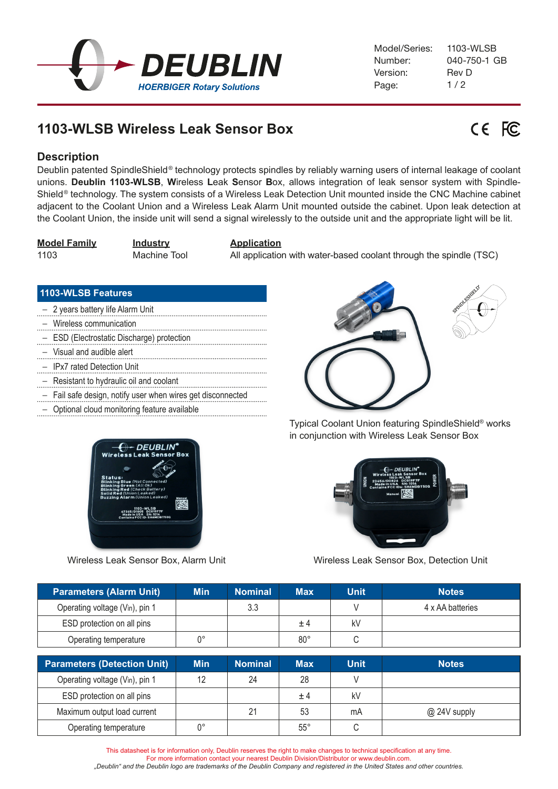

# **1103-WLSB Wireless Leak Sensor Box**



## **Description**

Deublin patented SpindleShield ® technology protects spindles by reliably warning users of internal leakage of coolant unions. **Deublin 1103-WLSB**, **W**ireless **L**eak **S**ensor **B**ox, allows integration of leak sensor system with Spindle-Shield<sup>®</sup> technology. The system consists of a Wireless Leak Detection Unit mounted inside the CNC Machine cabinet adjacent to the Coolant Union and a Wireless Leak Alarm Unit mounted outside the cabinet. Upon leak detection at the Coolant Union, the inside unit will send a signal wirelessly to the outside unit and the appropriate light will be lit.

**Model Family Industry Application**

1103 Machine Tool All application with water-based coolant through the spindle (TSC)

## **1103-WLSB Features**

- 2 years battery life Alarm Unit
- Wireless communication
- ESD (Electrostatic Discharge) protection
- Visual and audible alert
- IPx7 rated Detection Unit
- Resistant to hydraulic oil and coolant
- Fail safe design, notify user when wires get disconnected
- Optional cloud monitoring feature available



Wireless Leak Sensor Box, Alarm Unit



Typical Coolant Union featuring SpindleShield® works in conjunction with Wireless Leak Sensor Box



Wireless Leak Sensor Box, Detection Unit

| <b>Parameters (Alarm Unit)</b> | <b>Min</b> | Nominal | <b>Max</b>   | <b>Unit</b> | <b>Notes</b>     |
|--------------------------------|------------|---------|--------------|-------------|------------------|
| Operating voltage (Vin), pin 1 |            | 3.3     |              |             | 4 x AA batteries |
| ESD protection on all pins     |            |         | ±4           | kV          |                  |
| Operating temperature          | n٥         |         | $80^{\circ}$ |             |                  |

| <b>Parameters (Detection Unit)</b> | <b>Min</b> | <b>Nominal</b> | <b>Max</b>   | <b>Unit</b> | <b>Notes</b> |
|------------------------------------|------------|----------------|--------------|-------------|--------------|
| Operating voltage (Vin), pin 1     | 12         | 24             | 28           |             |              |
| ESD protection on all pins         |            |                | $+4$         | kV          |              |
| Maximum output load current        |            | 21             | 53           | mA          | @ 24V supply |
| Operating temperature              | n۰         |                | $55^{\circ}$ |             |              |

This datasheet is for information only, Deublin reserves the right to make changes to technical specification at any time. For more information contact your nearest Deublin Division/Distributor or www.deublin.com. *"Deublin" and the Deublin logo are trademarks of the Deublin Company and registered in the United States and other countries.*